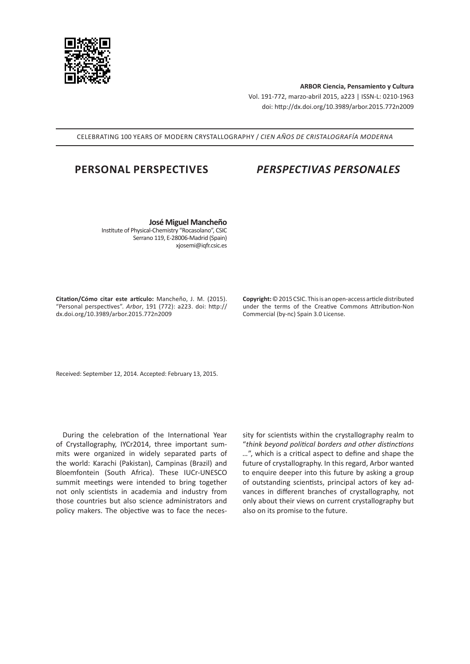

**ARBOR Ciencia, Pensamiento y Cultura** Vol. 191-772, marzo-abril 2015, a223 | ISSN-L: 0210-1963

[doi: http://dx.doi.org/10.3989/arbor.2015.772n20](http://dx.doi.org/10.3989/arbor.2015.772n2009)09

CELEBRATING 100 YEARS OF MODERN CRYSTALLOGRAPHY / *CIEN AÑOS DE CRISTALOGRAFÍA MODERNA*

# **PERSONAL PERSPECTIVES** *PERSPECTIVAS PERSONALES*

**José Miguel Mancheño**

Institute of Physical-Chemistry "Rocasolano", CSIC Serrano 119, E-28006-Madrid (Spain) [xjosemi@iqfr.csic.es](mailto:xjosemi@iqfr.csic.es)

**Citation/Cómo citar este artículo:** Mancheño, J. M. (2015). "Personal perspectives". *Arbor*, 191 (772): a223. [doi: http://](http://dx.doi.org/10.3989/arbor.2015.772n2009) [dx.doi.org/10.3989/arbor.2015.772n20](http://dx.doi.org/10.3989/arbor.2015.772n2009)09

**Copyright:** © 2015 CSIC. This is an open-access article distributed under the terms of the Creative Commons Attribution-Non Commercial (by-nc) Spain 3.0 License.

Received: September 12, 2014. Accepted: February 13, 2015.

During the celebration of the International Year of Crystallography, IYCr2014, three important summits were organized in widely separated parts of the world: Karachi (Pakistan), Campinas (Brazil) and Bloemfontein (South Africa). These IUCr-UNESCO summit meetings were intended to bring together not only scientists in academia and industry from those countries but also science administrators and policy makers. The objective was to face the necessity for scientists within the crystallography realm to "*think beyond political borders and other distinctions …*", which is a critical aspect to define and shape the future of crystallography. In this regard, Arbor wanted to enquire deeper into this future by asking a group of outstanding scientists, principal actors of key advances in different branches of crystallography, not only about their views on current crystallography but also on its promise to the future.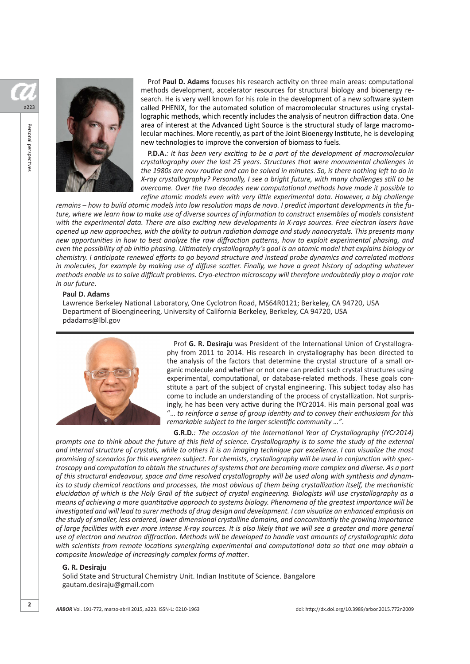

Prof **Paul D. Adams** focuses his research activity on three main areas: computational methods development, accelerator resources for structural biology and bioenergy research. He is very well known for his role in the development of a new software system called PHENIX, for the automated solution of macromolecular structures using crystallographic methods, which recently includes the analysis of neutron diffraction data. One area of interest at the Advanced Light Source is the structural study of large macromolecular machines. More recently, as part of the Joint Bioenergy Institute, he is developing new technologies to improve the conversion of biomass to fuels.

**P.D.A.***: It has been very exciting to be a part of the development of macromolecular crystallography over the last 25 years. Structures that were monumental challenges in the 1980s are now routine and can be solved in minutes. So, is there nothing left to do in X-ray crystallography? Personally, I see a bright future, with many challenges still to be overcome. Over the two decades new computational methods have made it possible to refine atomic models even with very little experimental data. However, a big challenge* 

*remains – how to build atomic models into low resolution maps de novo. I predict important developments in the future, where we learn how to make use of diverse sources of information to construct ensembles of models consistent with the experimental data. There are also exciting new developments in X-rays sources. Free electron lasers have opened up new approaches, with the ability to outrun radiation damage and study nanocrystals. This presents many new opportunities in how to best analyze the raw diffraction patterns, how to exploit experimental phasing, and even the possibility of ab initio phasing. Ultimately crystallography's goal is an atomic model that explains biology or chemistry. I anticipate renewed efforts to go beyond structure and instead probe dynamics and correlated motions in molecules, for example by making use of diffuse scatter. Finally, we have a great history of adopting whatever methods enable us to solve difficult problems. Cryo-electron microscopy will therefore undoubtedly play a major role in our future*.

#### **Paul D. Adams**

Lawrence Berkeley National Laboratory, One Cyclotron Road, MS64R0121; Berkeley, CA 94720, USA Department of Bioengineering, University of California Berkeley, Berkeley, CA 94720, USA [pdadams@lbl.gov](mailto:pdadams@lbl.gov)



Prof **G. R. Desiraju** was President of the International Union of Crystallography from 2011 to 2014. His research in crystallography has been directed to the analysis of the factors that determine the crystal structure of a small organic molecule and whether or not one can predict such crystal structures using experimental, computational, or database-related methods. These goals constitute a part of the subject of crystal engineering. This subject today also has come to include an understanding of the process of crystallization. Not surprisingly, he has been very active during the IYCr2014. His main personal goal was "… *to reinforce a sense of group identity and to convey their enthusiasm for this remarkable subject to the larger scientific community …"*.

**G.R.D.***: The occasion of the International Year of Crystallography (IYCr2014) prompts one to think about the future of this field of science. Crystallography is to some the study of the external and internal structure of crystals, while to others it is an imaging technique par excellence. I can visualize the most promising of scenarios for this evergreen subject. For chemists, crystallography will be used in conjunction with spectroscopy and computation to obtain the structures of systems that are becoming more complex and diverse. As a part of this structural endeavour, space and time resolved crystallography will be used along with synthesis and dynamics to study chemical reactions and processes, the most obvious of them being crystallization itself, the mechanistic elucidation of which is the Holy Grail of the subject of crystal engineering. Biologists will use crystallography as a means of achieving a more quantitative approach to systems biology. Phenomena of the greatest importance will be investigated and will lead to surer methods of drug design and development. I can visualize an enhanced emphasis on the study of smaller, less ordered, lower dimensional crystalline domains, and concomitantly the growing importance of large facilities with ever more intense X-ray sources. It is also likely that we will see a greater and more general use of electron and neutron diffraction. Methods will be developed to handle vast amounts of crystallographic data with scientists from remote locations synergizing experimental and computational data so that one may obtain a composite knowledge of increasingly complex forms of matter*.

### **G. R. Desiraju**

Solid State and Structural Chemistry Unit. Indian Institute of Science. Bangalore [gautam.desiraju@gmail.com](mailto:gautam.desiraju@gmail.com)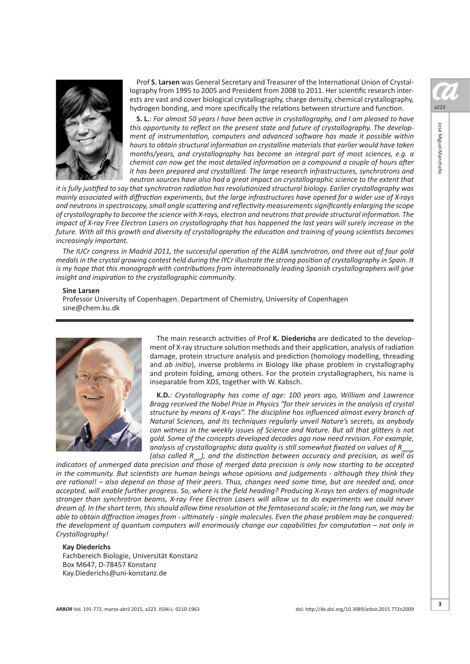

Prof **S. Larsen** was General Secretary and Treasurer of the International Union of Crystallography from 1995 to 2005 and President from 2008 to 2011. Her scientific research interests are vast and cover biological crystallography, charge density, chemical crystallography, hydrogen bonding, and more specifically the relations between structure and function.

**S. L.***: For almost 50 years I have been active in crystallography, and I am pleased to have this opportunity to reflect on the present state and future of crystallography. The development of instrumentation, computers and advanced software has made it possible within hours to obtain structural information on crystalline materials that earlier would have taken months/years, and crystallography has become an integral part of most sciences, e.g. a chemist can now get the most detailed information on a compound a couple of hours after it has been prepared and crystallized. The large research infrastructures, synchrotrons and neutron sources have also had a great impact on crystallographic science to the extent that* 

*it is fully justified to say that synchrotron radiation has revolutionized structural biology. Earlier crystallography was mainly associated with diffraction experiments, but the large infrastructures have opened for a wider use of X-rays and neutrons in spectroscopy, small angle scattering and reflectivity measurements significantly enlarging the scope of crystallography to become the science with X-rays, electron and neutrons that provide structural information. The impact of X-ray Free Electron Lasers on crystallography that has happened the last years will surely increase in the future. With all this growth and diversity of crystallography the education and training of young scientists becomes increasingly important.* 

*The IUCr congress in Madrid 2011, the successful operation of the ALBA synchrotron, and three out of four gold medals in the crystal growing contest held during the IYCr illustrate the strong position of crystallography in Spain. It*  is my hope that this monograph with contributions from internationally leading Spanish crystallographers will give *insight and inspiration to the crystallographic community*.

## **Sine Larsen**

Professor University of Copenhagen. Department of Chemistry, University of Copenhagen [sine@chem.ku.dk](mailto:sine@chem.ku.dk)



The main research activities of Prof **K. Diederichs** are dedicated to the development of X-ray structure solution methods and their application, analysis of radiation damage, protein structure analysis and prediction (homology modelling, threading and *ab initio*), inverse problems in Biology like phase problem in crystallography and protein folding, among others. For the protein crystallographers, his name is inseparable from *XDS*, together with W. Kabsch.

**K.D.***: Crystallography has come of age: 100 years ago, William and Lawrence Bragg received the Nobel Prize in Physics "for their services in the analysis of crystal structure by means of X-rays". The discipline has influenced almost every branch of Natural Sciences, and its techniques regularly unveil Nature's secrets, as anybody can witness in the weekly issues of Science and Nature. But all that glitters is not gold. Some of the concepts developed decades ago now need revision. For example, analysis of crystallographic data quality is still somewhat fixated on values of Rmerge (also called Rsym), and the distinction between accuracy and precision, as well as* 

*indicators of unmerged data precision and those of merged data precision is only now starting to be accepted in the community. But scientists are human beings whose opinions and judgements - although they think they are rational! – also depend on those of their peers. Thus, changes need some time, but are needed and, once accepted, will enable further progress. So, where is the field heading? Producing X-rays ten orders of magnitude stronger than synchrotron beams, X-ray Free Electron Lasers will allow us to do experiments we could never dream of. In the short term, this should allow time resolution at the femtosecond scale; in the long run, we may be able to obtain diffraction images from - ultimately - single molecules. Even the phase problem may be conquered: the development of quantum computers will enormously change our capabilities for computation – not only in Crystallography!* 

# **Kay Diederichs**

Fachbereich Biologie, Universität Konstanz Box M647, D-78457 Konstanz <Kay.Diederichs>[@uni-konstanz.de](uni-konstanz.de)